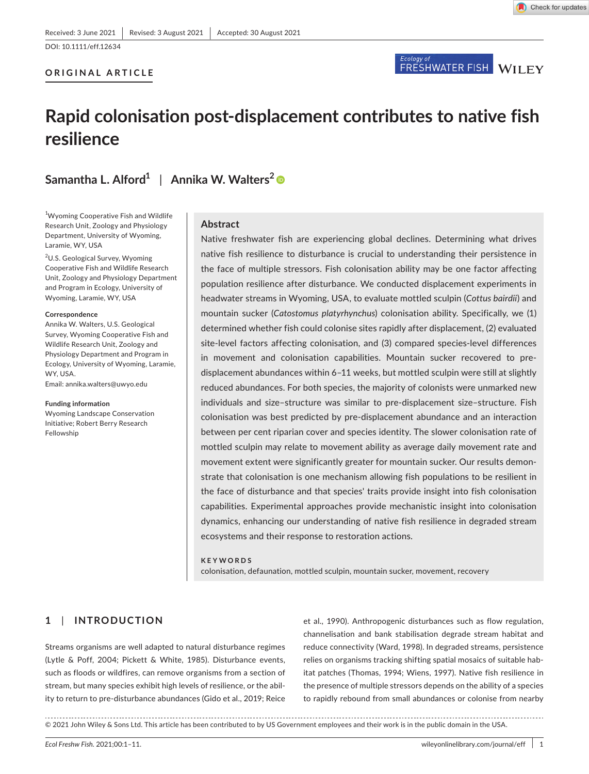Check for updates

# **ORIGINAL ARTICLE**

# Ecology of<br>FRESHWATER FISH WILEY

# **Rapid colonisation post-displacement contributes to native fish resilience**

**Samantha L. Alford<sup>1</sup>** | **Annika W. Walters[2](https://orcid.org/0000-0002-8638-6682)**

<sup>1</sup>Wyoming Cooperative Fish and Wildlife Research Unit, Zoology and Physiology Department, University of Wyoming, Laramie, WY, USA

<sup>2</sup>U.S. Geological Survey, Wyoming Cooperative Fish and Wildlife Research Unit, Zoology and Physiology Department and Program in Ecology, University of Wyoming, Laramie, WY, USA

#### **Correspondence**

Annika W. Walters, U.S. Geological Survey, Wyoming Cooperative Fish and Wildlife Research Unit, Zoology and Physiology Department and Program in Ecology, University of Wyoming, Laramie, WY, USA. Email: [annika.walters@uwyo.edu](mailto:annika.walters@uwyo.edu)

#### **Funding information**

Wyoming Landscape Conservation Initiative; Robert Berry Research Fellowship

# **Abstract**

Native freshwater fish are experiencing global declines. Determining what drives native fish resilience to disturbance is crucial to understanding their persistence in the face of multiple stressors. Fish colonisation ability may be one factor affecting population resilience after disturbance. We conducted displacement experiments in headwater streams in Wyoming, USA, to evaluate mottled sculpin (*Cottus bairdii*) and mountain sucker (*Catostomus platyrhynchus*) colonisation ability. Specifically, we (1) determined whether fish could colonise sites rapidly after displacement, (2) evaluated site-level factors affecting colonisation, and (3) compared species-level differences in movement and colonisation capabilities. Mountain sucker recovered to predisplacement abundances within 6–11 weeks, but mottled sculpin were still at slightly reduced abundances. For both species, the majority of colonists were unmarked new individuals and size–structure was similar to pre-displacement size–structure. Fish colonisation was best predicted by pre-displacement abundance and an interaction between per cent riparian cover and species identity. The slower colonisation rate of mottled sculpin may relate to movement ability as average daily movement rate and movement extent were significantly greater for mountain sucker. Our results demonstrate that colonisation is one mechanism allowing fish populations to be resilient in the face of disturbance and that species' traits provide insight into fish colonisation capabilities. Experimental approaches provide mechanistic insight into colonisation dynamics, enhancing our understanding of native fish resilience in degraded stream ecosystems and their response to restoration actions.

#### **KEYWORDS**

colonisation, defaunation, mottled sculpin, mountain sucker, movement, recovery

# **1**  | **INTRODUCTION**

Streams organisms are well adapted to natural disturbance regimes (Lytle & Poff, 2004; Pickett & White, 1985). Disturbance events, such as floods or wildfires, can remove organisms from a section of stream, but many species exhibit high levels of resilience, or the ability to return to pre-disturbance abundances (Gido et al., 2019; Reice et al., 1990). Anthropogenic disturbances such as flow regulation, channelisation and bank stabilisation degrade stream habitat and reduce connectivity (Ward, 1998). In degraded streams, persistence relies on organisms tracking shifting spatial mosaics of suitable habitat patches (Thomas, 1994; Wiens, 1997). Native fish resilience in the presence of multiple stressors depends on the ability of a species to rapidly rebound from small abundances or colonise from nearby

© 2021 John Wiley & Sons Ltd. This article has been contributed to by US Government employees and their work is in the public domain in the USA.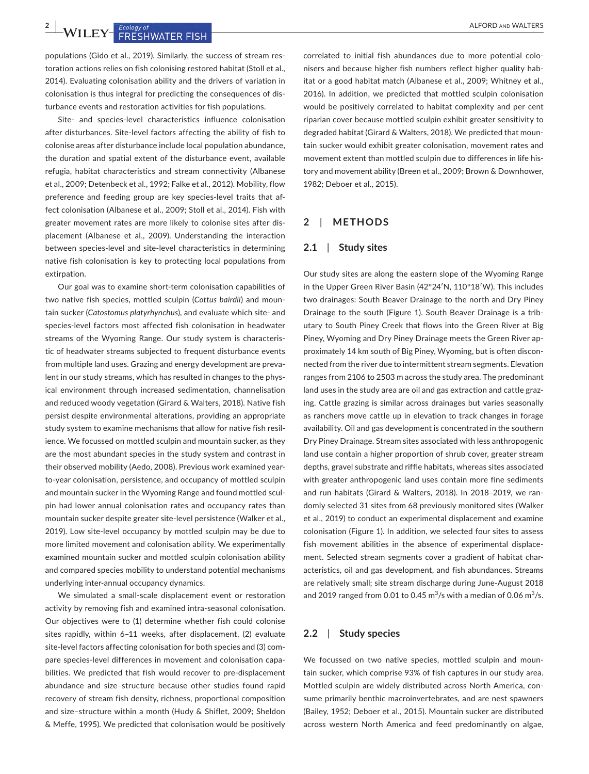**2 <sup>|</sup>**  ALFORD and WALTERS

populations (Gido et al., 2019). Similarly, the success of stream restoration actions relies on fish colonising restored habitat (Stoll et al., 2014). Evaluating colonisation ability and the drivers of variation in colonisation is thus integral for predicting the consequences of disturbance events and restoration activities for fish populations.

Site- and species-level characteristics influence colonisation after disturbances. Site-level factors affecting the ability of fish to colonise areas after disturbance include local population abundance, the duration and spatial extent of the disturbance event, available refugia, habitat characteristics and stream connectivity (Albanese et al., 2009; Detenbeck et al., 1992; Falke et al., 2012). Mobility, flow preference and feeding group are key species-level traits that affect colonisation (Albanese et al., 2009; Stoll et al., 2014). Fish with greater movement rates are more likely to colonise sites after displacement (Albanese et al., 2009). Understanding the interaction between species-level and site-level characteristics in determining native fish colonisation is key to protecting local populations from extirpation.

Our goal was to examine short-term colonisation capabilities of two native fish species, mottled sculpin (*Cottus bairdii*) and mountain sucker (*Catostomus platyrhynchus*), and evaluate which site- and species-level factors most affected fish colonisation in headwater streams of the Wyoming Range. Our study system is characteristic of headwater streams subjected to frequent disturbance events from multiple land uses. Grazing and energy development are prevalent in our study streams, which has resulted in changes to the physical environment through increased sedimentation, channelisation and reduced woody vegetation (Girard & Walters, 2018). Native fish persist despite environmental alterations, providing an appropriate study system to examine mechanisms that allow for native fish resilience. We focussed on mottled sculpin and mountain sucker, as they are the most abundant species in the study system and contrast in their observed mobility (Aedo, 2008). Previous work examined yearto-year colonisation, persistence, and occupancy of mottled sculpin and mountain sucker in the Wyoming Range and found mottled sculpin had lower annual colonisation rates and occupancy rates than mountain sucker despite greater site-level persistence (Walker et al., 2019). Low site-level occupancy by mottled sculpin may be due to more limited movement and colonisation ability. We experimentally examined mountain sucker and mottled sculpin colonisation ability and compared species mobility to understand potential mechanisms underlying inter-annual occupancy dynamics.

We simulated a small-scale displacement event or restoration activity by removing fish and examined intra-seasonal colonisation. Our objectives were to (1) determine whether fish could colonise sites rapidly, within 6–11 weeks, after displacement, (2) evaluate site-level factors affecting colonisation for both species and (3) compare species-level differences in movement and colonisation capabilities. We predicted that fish would recover to pre-displacement abundance and size–structure because other studies found rapid recovery of stream fish density, richness, proportional composition and size–structure within a month (Hudy & Shiflet, 2009; Sheldon & Meffe, 1995). We predicted that colonisation would be positively

correlated to initial fish abundances due to more potential colonisers and because higher fish numbers reflect higher quality habitat or a good habitat match (Albanese et al., 2009; Whitney et al., 2016). In addition, we predicted that mottled sculpin colonisation would be positively correlated to habitat complexity and per cent riparian cover because mottled sculpin exhibit greater sensitivity to degraded habitat (Girard & Walters, 2018). We predicted that mountain sucker would exhibit greater colonisation, movement rates and movement extent than mottled sculpin due to differences in life history and movement ability (Breen et al., 2009; Brown & Downhower, 1982; Deboer et al., 2015).

# **2**  | **METHODS**

#### **2.1**  | **Study sites**

Our study sites are along the eastern slope of the Wyoming Range in the Upper Green River Basin (42°24′N, 110°18′W). This includes two drainages: South Beaver Drainage to the north and Dry Piney Drainage to the south (Figure 1). South Beaver Drainage is a tributary to South Piney Creek that flows into the Green River at Big Piney, Wyoming and Dry Piney Drainage meets the Green River approximately 14 km south of Big Piney, Wyoming, but is often disconnected from the river due to intermittent stream segments. Elevation ranges from 2106 to 2503 m across the study area. The predominant land uses in the study area are oil and gas extraction and cattle grazing. Cattle grazing is similar across drainages but varies seasonally as ranchers move cattle up in elevation to track changes in forage availability. Oil and gas development is concentrated in the southern Dry Piney Drainage. Stream sites associated with less anthropogenic land use contain a higher proportion of shrub cover, greater stream depths, gravel substrate and riffle habitats, whereas sites associated with greater anthropogenic land uses contain more fine sediments and run habitats (Girard & Walters, 2018). In 2018–2019, we randomly selected 31 sites from 68 previously monitored sites (Walker et al., 2019) to conduct an experimental displacement and examine colonisation (Figure 1). In addition, we selected four sites to assess fish movement abilities in the absence of experimental displacement. Selected stream segments cover a gradient of habitat characteristics, oil and gas development, and fish abundances. Streams are relatively small; site stream discharge during June-August 2018 and 2019 ranged from 0.01 to 0.45  $\mathrm{m}^3/\mathrm{s}$  with a median of 0.06  $\mathrm{m}^3/\mathrm{s}$ .

#### **2.2**  | **Study species**

We focussed on two native species, mottled sculpin and mountain sucker, which comprise 93% of fish captures in our study area. Mottled sculpin are widely distributed across North America, consume primarily benthic macroinvertebrates, and are nest spawners (Bailey, 1952; Deboer et al., 2015). Mountain sucker are distributed across western North America and feed predominantly on algae,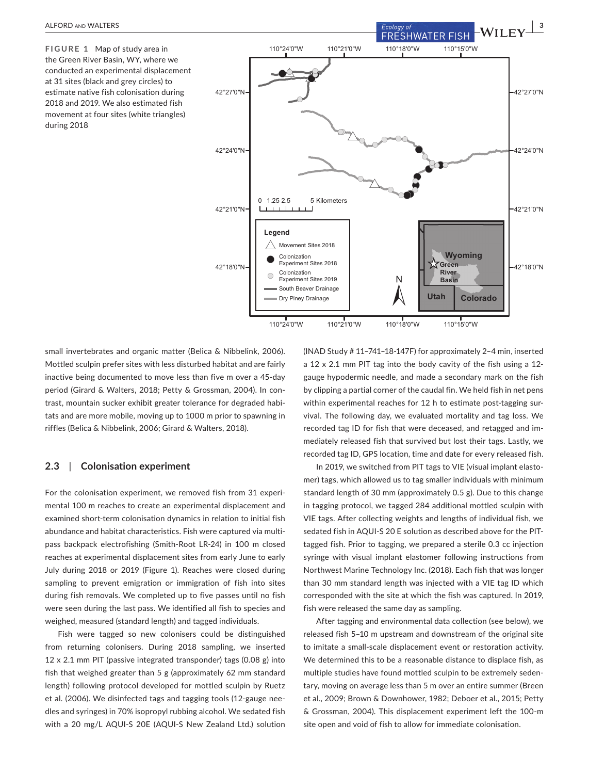**FIGURE 1** Map of study area in the Green River Basin, WY, where we conducted an experimental displacement at 31 sites (black and grey circles) to estimate native fish colonisation during 2018 and 2019. We also estimated fish movement at four sites (white triangles) during 2018



small invertebrates and organic matter (Belica & Nibbelink, 2006). Mottled sculpin prefer sites with less disturbed habitat and are fairly inactive being documented to move less than five m over a 45-day period (Girard & Walters, 2018; Petty & Grossman, 2004). In contrast, mountain sucker exhibit greater tolerance for degraded habitats and are more mobile, moving up to 1000 m prior to spawning in riffles (Belica & Nibbelink, 2006; Girard & Walters, 2018).

## **2.3**  | **Colonisation experiment**

For the colonisation experiment, we removed fish from 31 experimental 100 m reaches to create an experimental displacement and examined short-term colonisation dynamics in relation to initial fish abundance and habitat characteristics. Fish were captured via multipass backpack electrofishing (Smith-Root LR-24) in 100 m closed reaches at experimental displacement sites from early June to early July during 2018 or 2019 (Figure 1). Reaches were closed during sampling to prevent emigration or immigration of fish into sites during fish removals. We completed up to five passes until no fish were seen during the last pass. We identified all fish to species and weighed, measured (standard length) and tagged individuals.

Fish were tagged so new colonisers could be distinguished from returning colonisers. During 2018 sampling, we inserted 12 x 2.1 mm PIT (passive integrated transponder) tags (0.08 g) into fish that weighed greater than 5 g (approximately 62 mm standard length) following protocol developed for mottled sculpin by Ruetz et al. (2006). We disinfected tags and tagging tools (12-gauge needles and syringes) in 70% isopropyl rubbing alcohol. We sedated fish with a 20 mg/L AQUI-S 20E (AQUI-S New Zealand Ltd.) solution

(INAD Study # 11–741–18-147F) for approximately 2–4 min, inserted a 12 x 2.1 mm PIT tag into the body cavity of the fish using a 12 gauge hypodermic needle, and made a secondary mark on the fish by clipping a partial corner of the caudal fin. We held fish in net pens within experimental reaches for 12 h to estimate post-tagging survival. The following day, we evaluated mortality and tag loss. We recorded tag ID for fish that were deceased, and retagged and immediately released fish that survived but lost their tags. Lastly, we recorded tag ID, GPS location, time and date for every released fish.

In 2019, we switched from PIT tags to VIE (visual implant elastomer) tags, which allowed us to tag smaller individuals with minimum standard length of 30 mm (approximately 0.5 g). Due to this change in tagging protocol, we tagged 284 additional mottled sculpin with VIE tags. After collecting weights and lengths of individual fish, we sedated fish in AQUI-S 20 E solution as described above for the PITtagged fish. Prior to tagging, we prepared a sterile 0.3 cc injection syringe with visual implant elastomer following instructions from Northwest Marine Technology Inc. (2018). Each fish that was longer than 30 mm standard length was injected with a VIE tag ID which corresponded with the site at which the fish was captured. In 2019, fish were released the same day as sampling.

After tagging and environmental data collection (see below), we released fish 5–10 m upstream and downstream of the original site to imitate a small-scale displacement event or restoration activity. We determined this to be a reasonable distance to displace fish, as multiple studies have found mottled sculpin to be extremely sedentary, moving on average less than 5 m over an entire summer (Breen et al., 2009; Brown & Downhower, 1982; Deboer et al., 2015; Petty & Grossman, 2004). This displacement experiment left the 100-m site open and void of fish to allow for immediate colonisation.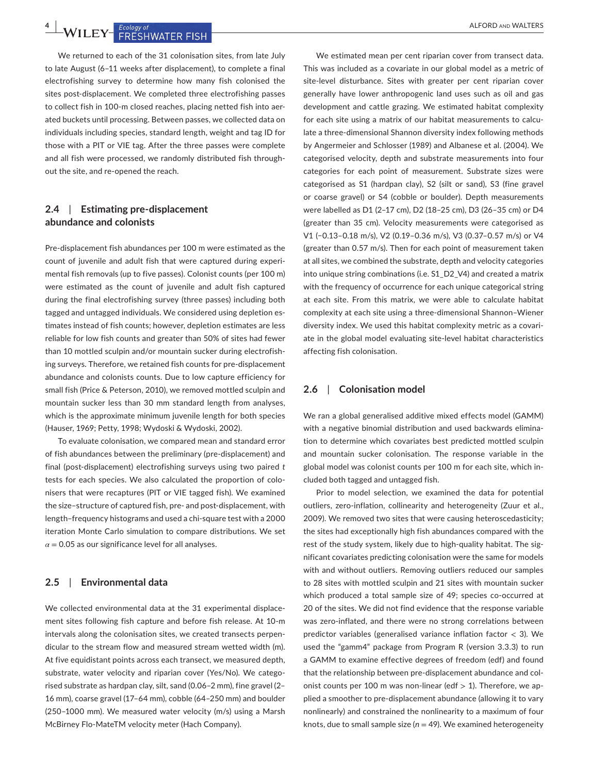**4**  $\frac{4}{\sqrt{15}}$  **ECOLOGY OF RESTRIMATER FISH** 

We returned to each of the 31 colonisation sites, from late July to late August (6–11 weeks after displacement), to complete a final electrofishing survey to determine how many fish colonised the sites post-displacement. We completed three electrofishing passes to collect fish in 100-m closed reaches, placing netted fish into aerated buckets until processing. Between passes, we collected data on individuals including species, standard length, weight and tag ID for those with a PIT or VIE tag. After the three passes were complete and all fish were processed, we randomly distributed fish throughout the site, and re-opened the reach.

# **2.4**  | **Estimating pre-displacement abundance and colonists**

Pre-displacement fish abundances per 100 m were estimated as the count of juvenile and adult fish that were captured during experimental fish removals (up to five passes). Colonist counts (per 100 m) were estimated as the count of juvenile and adult fish captured during the final electrofishing survey (three passes) including both tagged and untagged individuals. We considered using depletion estimates instead of fish counts; however, depletion estimates are less reliable for low fish counts and greater than 50% of sites had fewer than 10 mottled sculpin and/or mountain sucker during electrofishing surveys. Therefore, we retained fish counts for pre-displacement abundance and colonists counts. Due to low capture efficiency for small fish (Price & Peterson, 2010), we removed mottled sculpin and mountain sucker less than 30 mm standard length from analyses, which is the approximate minimum juvenile length for both species (Hauser, 1969; Petty, 1998; Wydoski & Wydoski, 2002).

To evaluate colonisation, we compared mean and standard error of fish abundances between the preliminary (pre-displacement) and final (post-displacement) electrofishing surveys using two paired *t* tests for each species. We also calculated the proportion of colonisers that were recaptures (PIT or VIE tagged fish). We examined the size–structure of captured fish, pre- and post-displacement, with length–frequency histograms and used a chi-square test with a 2000 iteration Monte Carlo simulation to compare distributions. We set  $\alpha$  = 0.05 as our significance level for all analyses.

## **2.5**  | **Environmental data**

We collected environmental data at the 31 experimental displacement sites following fish capture and before fish release. At 10-m intervals along the colonisation sites, we created transects perpendicular to the stream flow and measured stream wetted width (m). At five equidistant points across each transect, we measured depth, substrate, water velocity and riparian cover (Yes/No). We categorised substrate as hardpan clay, silt, sand (0.06–2 mm), fine gravel (2– 16 mm), coarse gravel (17–64 mm), cobble (64–250 mm) and boulder (250–1000 mm). We measured water velocity (m/s) using a Marsh McBirney Flo-MateTM velocity meter (Hach Company).

We estimated mean per cent riparian cover from transect data. This was included as a covariate in our global model as a metric of site-level disturbance. Sites with greater per cent riparian cover generally have lower anthropogenic land uses such as oil and gas development and cattle grazing. We estimated habitat complexity for each site using a matrix of our habitat measurements to calculate a three-dimensional Shannon diversity index following methods by Angermeier and Schlosser (1989) and Albanese et al. (2004). We categorised velocity, depth and substrate measurements into four categories for each point of measurement. Substrate sizes were categorised as S1 (hardpan clay), S2 (silt or sand), S3 (fine gravel or coarse gravel) or S4 (cobble or boulder). Depth measurements were labelled as D1 (2–17 cm), D2 (18–25 cm), D3 (26–35 cm) or D4 (greater than 35 cm). Velocity measurements were categorised as V1 (−0.13–0.18 m/s), V2 (0.19–0.36 m/s), V3 (0.37–0.57 m/s) or V4 (greater than 0.57 m/s). Then for each point of measurement taken at all sites, we combined the substrate, depth and velocity categories into unique string combinations (i.e. S1\_D2\_V4) and created a matrix with the frequency of occurrence for each unique categorical string at each site. From this matrix, we were able to calculate habitat complexity at each site using a three-dimensional Shannon–Wiener diversity index. We used this habitat complexity metric as a covariate in the global model evaluating site-level habitat characteristics affecting fish colonisation.

# **2.6**  | **Colonisation model**

We ran a global generalised additive mixed effects model (GAMM) with a negative binomial distribution and used backwards elimination to determine which covariates best predicted mottled sculpin and mountain sucker colonisation. The response variable in the global model was colonist counts per 100 m for each site, which included both tagged and untagged fish.

Prior to model selection, we examined the data for potential outliers, zero-inflation, collinearity and heterogeneity (Zuur et al., 2009). We removed two sites that were causing heteroscedasticity; the sites had exceptionally high fish abundances compared with the rest of the study system, likely due to high-quality habitat. The significant covariates predicting colonisation were the same for models with and without outliers. Removing outliers reduced our samples to 28 sites with mottled sculpin and 21 sites with mountain sucker which produced a total sample size of 49; species co-occurred at 20 of the sites. We did not find evidence that the response variable was zero-inflated, and there were no strong correlations between predictor variables (generalised variance inflation factor < 3). We used the "gamm4" package from Program R (version 3.3.3) to run a GAMM to examine effective degrees of freedom (edf) and found that the relationship between pre-displacement abundance and colonist counts per 100 m was non-linear (edf  $> 1$ ). Therefore, we applied a smoother to pre-displacement abundance (allowing it to vary nonlinearly) and constrained the nonlinearity to a maximum of four knots, due to small sample size ( $n = 49$ ). We examined heterogeneity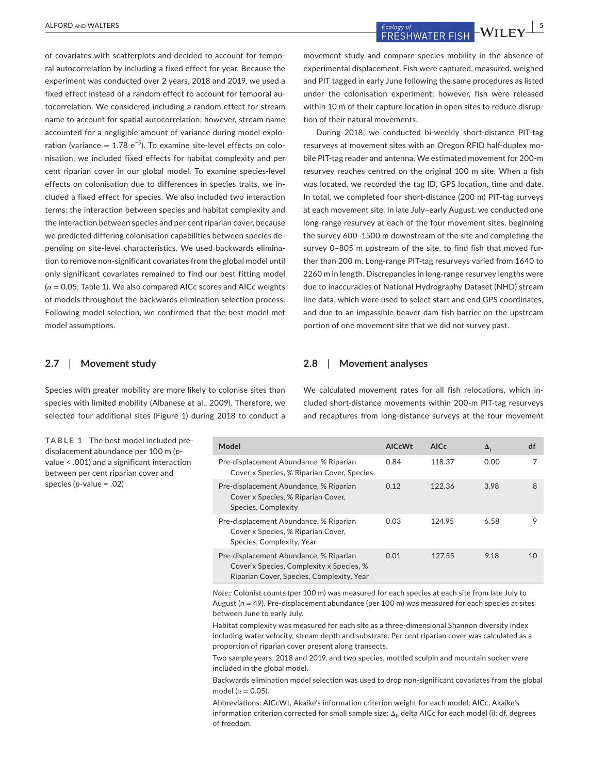of covariates with scatterplots and decided to account for temporal autocorrelation by including a fixed effect for year. Because the experiment was conducted over 2 years, 2018 and 2019, we used a fixed effect instead of a random effect to account for temporal autocorrelation. We considered including a random effect for stream name to account for spatial autocorrelation; however, stream name accounted for a negligible amount of variance during model exploration (variance =  $1.78 e^{-5}$ ). To examine site-level effects on colonisation, we included fixed effects for habitat complexity and per cent riparian cover in our global model. To examine species-level effects on colonisation due to differences in species traits, we included a fixed effect for species. We also included two interaction terms: the interaction between species and habitat complexity and the interaction between species and per cent riparian cover, because we predicted differing colonisation capabilities between species depending on site-level characteristics. We used backwards elimination to remove non-significant covariates from the global model until only significant covariates remained to find our best fitting model (*α* = 0.05; Table 1). We also compared AICc scores and AICc weights of models throughout the backwards elimination selection process. Following model selection, we confirmed that the best model met model assumptions.

#### **2.7**  | **Movement study**

Species with greater mobility are more likely to colonise sites than species with limited mobility (Albanese et al., 2009). Therefore, we selected four additional sites (Figure 1) during 2018 to conduct a

**TABLE 1** The best model included predisplacement abundance per 100 m (*p*value < .001) and a significant interaction between per cent riparian cover and species (*p*-value = .02)

ALFORD AND WALTERS **|**<br>  $\frac{Ecology of}{ERESHWATER FISH} - WILEY \xrightarrow{5}$ 

movement study and compare species mobility in the absence of experimental displacement. Fish were captured, measured, weighed and PIT tagged in early June following the same procedures as listed under the colonisation experiment; however, fish were released within 10 m of their capture location in open sites to reduce disruption of their natural movements.

During 2018, we conducted bi-weekly short-distance PIT-tag resurveys at movement sites with an Oregon RFID half-duplex mobile PIT-tag reader and antenna. We estimated movement for 200-m resurvey reaches centred on the original 100 m site. When a fish was located, we recorded the tag ID, GPS location, time and date. In total, we completed four short-distance (200 m) PIT-tag surveys at each movement site. In late July–early August, we conducted one long-range resurvey at each of the four movement sites, beginning the survey 600–1500 m downstream of the site and completing the survey 0–805 m upstream of the site, to find fish that moved further than 200 m. Long-range PIT-tag resurveys varied from 1640 to 2260 m in length. Discrepancies in long-range resurvey lengths were due to inaccuracies of National Hydrography Dataset (NHD) stream line data, which were used to select start and end GPS coordinates, and due to an impassible beaver dam fish barrier on the upstream portion of one movement site that we did not survey past.

#### **2.8**  | **Movement analyses**

We calculated movement rates for all fish relocations, which included short-distance movements within 200-m PIT-tag resurveys and recaptures from long-distance surveys at the four movement

| Model                                                                                                                           | <b>AICcWt</b> | AIC <sub>c</sub> | $\Delta_i$ | df              |
|---------------------------------------------------------------------------------------------------------------------------------|---------------|------------------|------------|-----------------|
| Pre-displacement Abundance, % Riparian<br>Cover x Species, % Riparian Cover, Species                                            | 0.84          | 118.37           | 0.00       | 7               |
| Pre-displacement Abundance, % Riparian<br>Cover x Species, % Riparian Cover,<br>Species, Complexity                             | 0.12          | 122.36           | 3.98       | 8               |
| Pre-displacement Abundance, % Riparian<br>Cover x Species, % Riparian Cover,<br>Species, Complexity, Year                       | 0.03          | 124.95           | 6.58       | 9               |
| Pre-displacement Abundance, % Riparian<br>Cover x Species, Complexity x Species, %<br>Riparian Cover, Species, Complexity, Year | 0.01          | 127.55           | 9.18       | 10 <sup>1</sup> |

*Note::* Colonist counts (per 100 m) was measured for each species at each site from late July to August ( $n = 49$ ). Pre-displacement abundance (per 100 m) was measured for each species at sites between June to early July.

Habitat complexity was measured for each site as a three-dimensional Shannon diversity index including water velocity, stream depth and substrate. Per cent riparian cover was calculated as a proportion of riparian cover present along transects.

Two sample years, 2018 and 2019, and two species, mottled sculpin and mountain sucker were included in the global model.

Backwards elimination model selection was used to drop non-significant covariates from the global model ( $\alpha$  = 0.05).

Abbreviations: AICcWt, Akaike's information criterion weight for each model; AICc, Akaike's information criterion corrected for small sample size;  $\Delta_{\rm p}$  delta AICc for each model (i); df, degrees of freedom.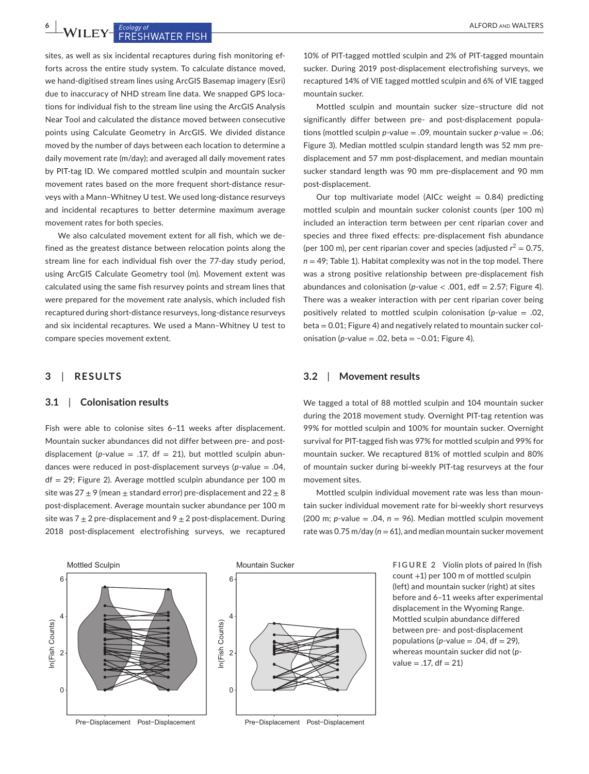**6**  $\frac{1}{2}$  **WILEY** FRESHWATER FISH

sites, as well as six incidental recaptures during fish monitoring efforts across the entire study system. To calculate distance moved, we hand-digitised stream lines using ArcGIS Basemap imagery (Esri) due to inaccuracy of NHD stream line data. We snapped GPS locations for individual fish to the stream line using the ArcGIS Analysis Near Tool and calculated the distance moved between consecutive points using Calculate Geometry in ArcGIS. We divided distance moved by the number of days between each location to determine a daily movement rate (m/day); and averaged all daily movement rates by PIT-tag ID. We compared mottled sculpin and mountain sucker movement rates based on the more frequent short-distance resurveys with a Mann–Whitney U test. We used long-distance resurveys and incidental recaptures to better determine maximum average movement rates for both species.

We also calculated movement extent for all fish, which we defined as the greatest distance between relocation points along the stream line for each individual fish over the 77-day study period, using ArcGIS Calculate Geometry tool (m). Movement extent was calculated using the same fish resurvey points and stream lines that were prepared for the movement rate analysis, which included fish recaptured during short-distance resurveys, long-distance resurveys and six incidental recaptures. We used a Mann–Whitney U test to compare species movement extent.

# **3**  | **RESULTS**

#### **3.1**  | **Colonisation results**

Fish were able to colonise sites 6–11 weeks after displacement. Mountain sucker abundances did not differ between pre- and postdisplacement ( $p$ -value = .17,  $df = 21$ ), but mottled sculpin abundances were reduced in post-displacement surveys (*p*-value = .04,  $df = 29$ ; Figure 2). Average mottled sculpin abundance per 100 m site was  $27 \pm 9$  (mean  $\pm$  standard error) pre-displacement and  $22 \pm 8$ post-displacement. Average mountain sucker abundance per 100 m site was  $7 \pm 2$  pre-displacement and  $9 \pm 2$  post-displacement. During 2018 post-displacement electrofishing surveys, we recaptured

10% of PIT-tagged mottled sculpin and 2% of PIT-tagged mountain sucker. During 2019 post-displacement electrofishing surveys, we recaptured 14% of VIE tagged mottled sculpin and 6% of VIE tagged mountain sucker.

Mottled sculpin and mountain sucker size–structure did not significantly differ between pre- and post-displacement populations (mottled sculpin *p*-value = .09, mountain sucker *p*-value = .06; Figure 3). Median mottled sculpin standard length was 52 mm predisplacement and 57 mm post-displacement, and median mountain sucker standard length was 90 mm pre-displacement and 90 mm post-displacement.

Our top multivariate model (AICc weight  $= 0.84$ ) predicting mottled sculpin and mountain sucker colonist counts (per 100 m) included an interaction term between per cent riparian cover and species and three fixed effects: pre-displacement fish abundance (per 100 m), per cent riparian cover and species (adjusted  $r^2 = 0.75$ , *n* = 49; Table 1). Habitat complexity was not in the top model. There was a strong positive relationship between pre-displacement fish abundances and colonisation ( $p$ -value < .001, edf = 2.57; Figure 4). There was a weaker interaction with per cent riparian cover being positively related to mottled sculpin colonisation (*p*-value = .02, beta = 0.01; Figure 4) and negatively related to mountain sucker colonisation (*p*-value = .02, beta = −0.01; Figure 4).

#### **3.2**  | **Movement results**

We tagged a total of 88 mottled sculpin and 104 mountain sucker during the 2018 movement study. Overnight PIT-tag retention was 99% for mottled sculpin and 100% for mountain sucker. Overnight survival for PIT-tagged fish was 97% for mottled sculpin and 99% for mountain sucker. We recaptured 81% of mottled sculpin and 80% of mountain sucker during bi-weekly PIT-tag resurveys at the four movement sites.

Mottled sculpin individual movement rate was less than mountain sucker individual movement rate for bi-weekly short resurveys (200 m;  $p$ -value = .04,  $n = 96$ ). Median mottled sculpin movement rate was 0.75 m/day ( $n = 61$ ), and median mountain sucker movement



Pre−Displacement Post−Displacement

**FIGURE 2** Violin plots of paired ln (fish count +1) per 100 m of mottled sculpin (left) and mountain sucker (right) at sites before and 6–11 weeks after experimental displacement in the Wyoming Range. Mottled sculpin abundance differed between pre- and post-displacement populations ( $p$ -value = .04, df = 29), whereas mountain sucker did not (*p* $value = .17, df = 21$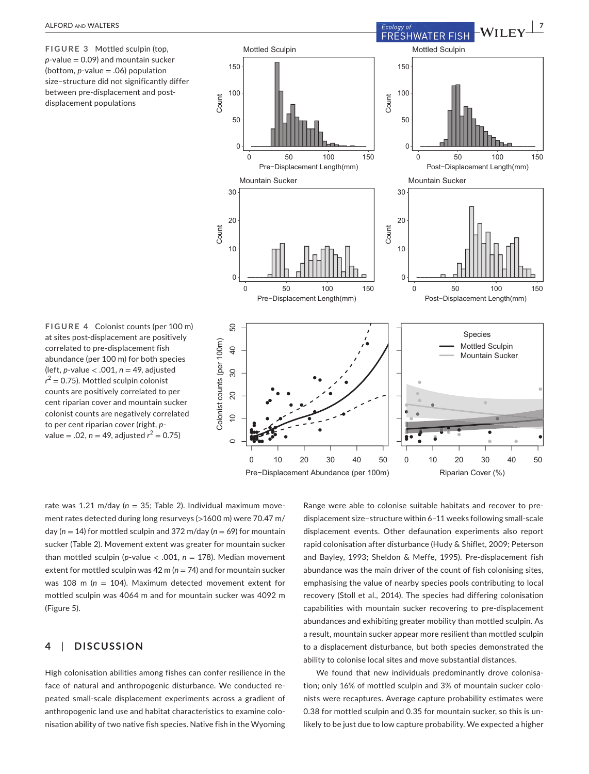**FIGURE 3** Mottled sculpin (top, *p*-value = 0.09) and mountain sucker (bottom, *p*-value = .06) population size–structure did not significantly differ between pre-displacement and postdisplacement populations



**FIGURE 4** Colonist counts (per 100 m) at sites post-displacement are positively correlated to pre-displacement fish abundance (per 100 m) for both species (left, *p*-value < .001, *n* = 49, adjusted  $r^2$  = 0.75). Mottled sculpin colonist counts are positively correlated to per cent riparian cover and mountain sucker colonist counts are negatively correlated to per cent riparian cover (right, *p*value = .02, *n* = 49, adjusted *r* <sup>2</sup> = 0.75)

rate was 1.21 m/day (*n* = 35; Table 2). Individual maximum movement rates detected during long resurveys (>1600 m) were 70.47 m/ day (*n* = 14) for mottled sculpin and 372 m/day (*n* = 69) for mountain sucker (Table 2). Movement extent was greater for mountain sucker than mottled sculpin ( $p$ -value < .001,  $n = 178$ ). Median movement extent for mottled sculpin was 42 m ( $n = 74$ ) and for mountain sucker was 108 m (*n* = 104). Maximum detected movement extent for mottled sculpin was 4064 m and for mountain sucker was 4092 m (Figure 5).

# **4**  | **DISCUSSION**

High colonisation abilities among fishes can confer resilience in the face of natural and anthropogenic disturbance. We conducted repeated small-scale displacement experiments across a gradient of anthropogenic land use and habitat characteristics to examine colonisation ability of two native fish species. Native fish in the Wyoming

Range were able to colonise suitable habitats and recover to predisplacement size–structure within 6–11 weeks following small-scale displacement events. Other defaunation experiments also report rapid colonisation after disturbance (Hudy & Shiflet, 2009; Peterson and Bayley, 1993; Sheldon & Meffe, 1995). Pre-displacement fish abundance was the main driver of the count of fish colonising sites, emphasising the value of nearby species pools contributing to local recovery (Stoll et al., 2014). The species had differing colonisation capabilities with mountain sucker recovering to pre-displacement abundances and exhibiting greater mobility than mottled sculpin. As a result, mountain sucker appear more resilient than mottled sculpin to a displacement disturbance, but both species demonstrated the ability to colonise local sites and move substantial distances.

We found that new individuals predominantly drove colonisation; only 16% of mottled sculpin and 3% of mountain sucker colonists were recaptures. Average capture probability estimates were 0.38 for mottled sculpin and 0.35 for mountain sucker, so this is unlikely to be just due to low capture probability. We expected a higher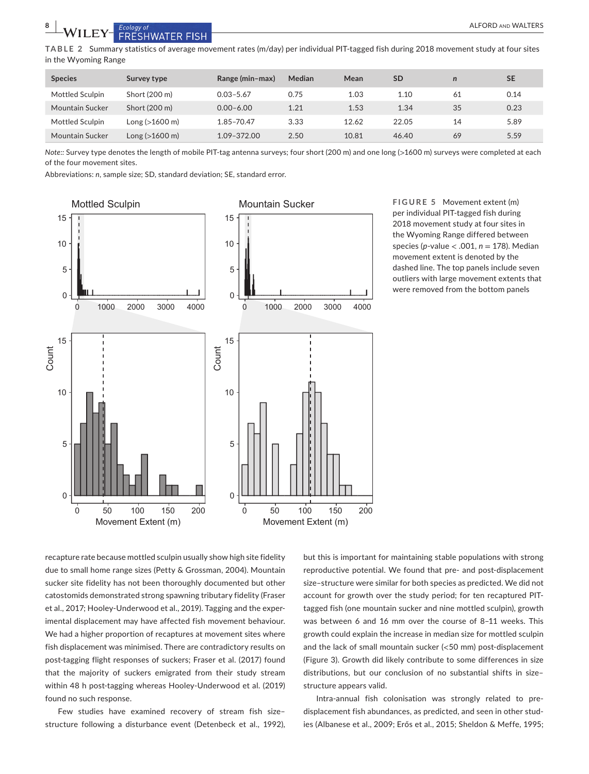**TABLE 2** Summary statistics of average movement rates (m/day) per individual PIT-tagged fish during 2018 movement study at four sites in the Wyoming Range

| <b>Species</b>  | Survey type              | Range (min-max) | Median | Mean  | SD    | $\mathbf n$ | <b>SE</b> |
|-----------------|--------------------------|-----------------|--------|-------|-------|-------------|-----------|
| Mottled Sculpin | Short (200 m)            | $0.03 - 5.67$   | 0.75   | 1.03  | 1.10  | 61          | 0.14      |
| Mountain Sucker | Short (200 m)            | $0.00 - 6.00$   | 1.21   | 1.53  | 1.34  | 35          | 0.23      |
| Mottled Sculpin | Long (>1600 m)           | 1.85-70.47      | 3.33   | 12.62 | 22.05 | 14          | 5.89      |
| Mountain Sucker | $Long (>1600 \text{ m})$ | 1.09-372.00     | 2.50   | 10.81 | 46.40 | 69          | 5.59      |

*Note:: Survey type denotes the length of mobile PIT-tag antenna surveys; four short (200 m) and one long (>1600 m) surveys were completed at each* of the four movement sites.

Abbreviations: *n*, sample size; SD, standard deviation; SE, standard error.



**FIGURE 5** Movement extent (m) per individual PIT-tagged fish during 2018 movement study at four sites in the Wyoming Range differed between species (*p*-value < .001, *n* = 178). Median movement extent is denoted by the dashed line. The top panels include seven outliers with large movement extents that were removed from the bottom panels

recapture rate because mottled sculpin usually show high site fidelity due to small home range sizes (Petty & Grossman, 2004). Mountain sucker site fidelity has not been thoroughly documented but other catostomids demonstrated strong spawning tributary fidelity (Fraser et al., 2017; Hooley-Underwood et al., 2019). Tagging and the experimental displacement may have affected fish movement behaviour. We had a higher proportion of recaptures at movement sites where fish displacement was minimised. There are contradictory results on post-tagging flight responses of suckers; Fraser et al. (2017) found that the majority of suckers emigrated from their study stream within 48 h post-tagging whereas Hooley-Underwood et al. (2019) found no such response.

Few studies have examined recovery of stream fish size– structure following a disturbance event (Detenbeck et al., 1992),

but this is important for maintaining stable populations with strong reproductive potential. We found that pre- and post-displacement size–structure were similar for both species as predicted. We did not account for growth over the study period; for ten recaptured PITtagged fish (one mountain sucker and nine mottled sculpin), growth was between 6 and 16 mm over the course of 8–11 weeks. This growth could explain the increase in median size for mottled sculpin and the lack of small mountain sucker (<50 mm) post-displacement (Figure 3). Growth did likely contribute to some differences in size distributions, but our conclusion of no substantial shifts in size– structure appears valid.

Intra-annual fish colonisation was strongly related to predisplacement fish abundances, as predicted, and seen in other studies (Albanese et al., 2009; Erős et al., 2015; Sheldon & Meffe, 1995;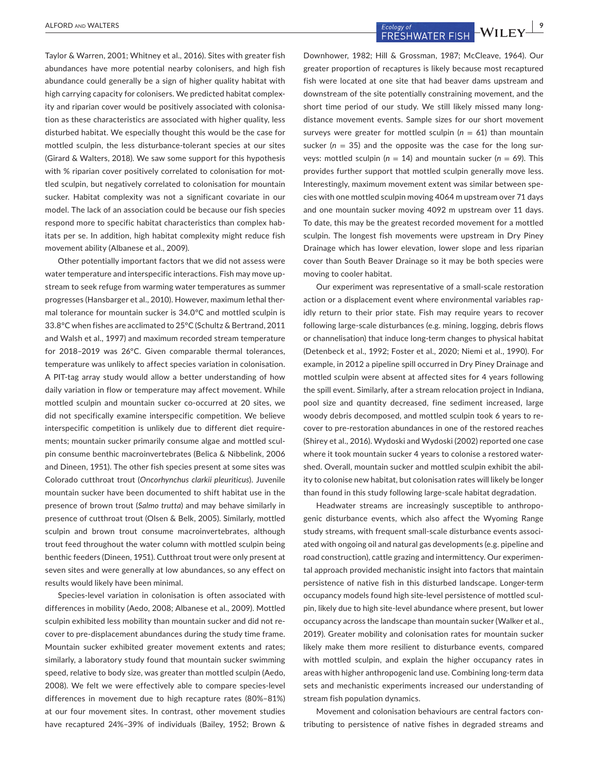Taylor & Warren, 2001; Whitney et al., 2016). Sites with greater fish abundances have more potential nearby colonisers, and high fish abundance could generally be a sign of higher quality habitat with high carrying capacity for colonisers. We predicted habitat complexity and riparian cover would be positively associated with colonisation as these characteristics are associated with higher quality, less disturbed habitat. We especially thought this would be the case for mottled sculpin, the less disturbance-tolerant species at our sites (Girard & Walters, 2018). We saw some support for this hypothesis with % riparian cover positively correlated to colonisation for mottled sculpin, but negatively correlated to colonisation for mountain sucker. Habitat complexity was not a significant covariate in our model. The lack of an association could be because our fish species respond more to specific habitat characteristics than complex habitats per se. In addition, high habitat complexity might reduce fish movement ability (Albanese et al., 2009).

Other potentially important factors that we did not assess were water temperature and interspecific interactions. Fish may move upstream to seek refuge from warming water temperatures as summer progresses (Hansbarger et al., 2010). However, maximum lethal thermal tolerance for mountain sucker is 34.0°C and mottled sculpin is 33.8°C when fishes are acclimated to 25°C (Schultz & Bertrand, 2011 and Walsh et al., 1997) and maximum recorded stream temperature for 2018–2019 was 26°C. Given comparable thermal tolerances, temperature was unlikely to affect species variation in colonisation. A PIT-tag array study would allow a better understanding of how daily variation in flow or temperature may affect movement. While mottled sculpin and mountain sucker co-occurred at 20 sites, we did not specifically examine interspecific competition. We believe interspecific competition is unlikely due to different diet requirements; mountain sucker primarily consume algae and mottled sculpin consume benthic macroinvertebrates (Belica & Nibbelink, 2006 and Dineen, 1951). The other fish species present at some sites was Colorado cutthroat trout (*Oncorhynchus clarkii pleuriticus*). Juvenile mountain sucker have been documented to shift habitat use in the presence of brown trout (*Salmo trutta*) and may behave similarly in presence of cutthroat trout (Olsen & Belk, 2005). Similarly, mottled sculpin and brown trout consume macroinvertebrates, although trout feed throughout the water column with mottled sculpin being benthic feeders (Dineen, 1951). Cutthroat trout were only present at seven sites and were generally at low abundances, so any effect on results would likely have been minimal.

Species-level variation in colonisation is often associated with differences in mobility (Aedo, 2008; Albanese et al., 2009). Mottled sculpin exhibited less mobility than mountain sucker and did not recover to pre-displacement abundances during the study time frame. Mountain sucker exhibited greater movement extents and rates; similarly, a laboratory study found that mountain sucker swimming speed, relative to body size, was greater than mottled sculpin (Aedo, 2008). We felt we were effectively able to compare species-level differences in movement due to high recapture rates (80%–81%) at our four movement sites. In contrast, other movement studies have recaptured 24%–39% of individuals (Bailey, 1952; Brown &

ALFORD AND WALTERS **ALFORD AND WALTERS POPULATION CONTAINS A PERESH WATER FISH WILEY <sup>9</sup>** 

Downhower, 1982; Hill & Grossman, 1987; McCleave, 1964). Our greater proportion of recaptures is likely because most recaptured fish were located at one site that had beaver dams upstream and downstream of the site potentially constraining movement, and the short time period of our study. We still likely missed many longdistance movement events. Sample sizes for our short movement surveys were greater for mottled sculpin (*n* = 61) than mountain sucker ( $n = 35$ ) and the opposite was the case for the long surveys: mottled sculpin (*n* = 14) and mountain sucker (*n* = 69). This provides further support that mottled sculpin generally move less. Interestingly, maximum movement extent was similar between species with one mottled sculpin moving 4064 m upstream over 71 days and one mountain sucker moving 4092 m upstream over 11 days. To date, this may be the greatest recorded movement for a mottled sculpin. The longest fish movements were upstream in Dry Piney Drainage which has lower elevation, lower slope and less riparian cover than South Beaver Drainage so it may be both species were moving to cooler habitat.

Our experiment was representative of a small-scale restoration action or a displacement event where environmental variables rapidly return to their prior state. Fish may require years to recover following large-scale disturbances (e.g. mining, logging, debris flows or channelisation) that induce long-term changes to physical habitat (Detenbeck et al., 1992; Foster et al., 2020; Niemi et al., 1990). For example, in 2012 a pipeline spill occurred in Dry Piney Drainage and mottled sculpin were absent at affected sites for 4 years following the spill event. Similarly, after a stream relocation project in Indiana, pool size and quantity decreased, fine sediment increased, large woody debris decomposed, and mottled sculpin took 6 years to recover to pre-restoration abundances in one of the restored reaches (Shirey et al., 2016). Wydoski and Wydoski (2002) reported one case where it took mountain sucker 4 years to colonise a restored watershed. Overall, mountain sucker and mottled sculpin exhibit the ability to colonise new habitat, but colonisation rates will likely be longer than found in this study following large-scale habitat degradation.

Headwater streams are increasingly susceptible to anthropogenic disturbance events, which also affect the Wyoming Range study streams, with frequent small-scale disturbance events associated with ongoing oil and natural gas developments (e.g. pipeline and road construction), cattle grazing and intermittency. Our experimental approach provided mechanistic insight into factors that maintain persistence of native fish in this disturbed landscape. Longer-term occupancy models found high site-level persistence of mottled sculpin, likely due to high site-level abundance where present, but lower occupancy across the landscape than mountain sucker (Walker et al., 2019). Greater mobility and colonisation rates for mountain sucker likely make them more resilient to disturbance events, compared with mottled sculpin, and explain the higher occupancy rates in areas with higher anthropogenic land use. Combining long-term data sets and mechanistic experiments increased our understanding of stream fish population dynamics.

Movement and colonisation behaviours are central factors contributing to persistence of native fishes in degraded streams and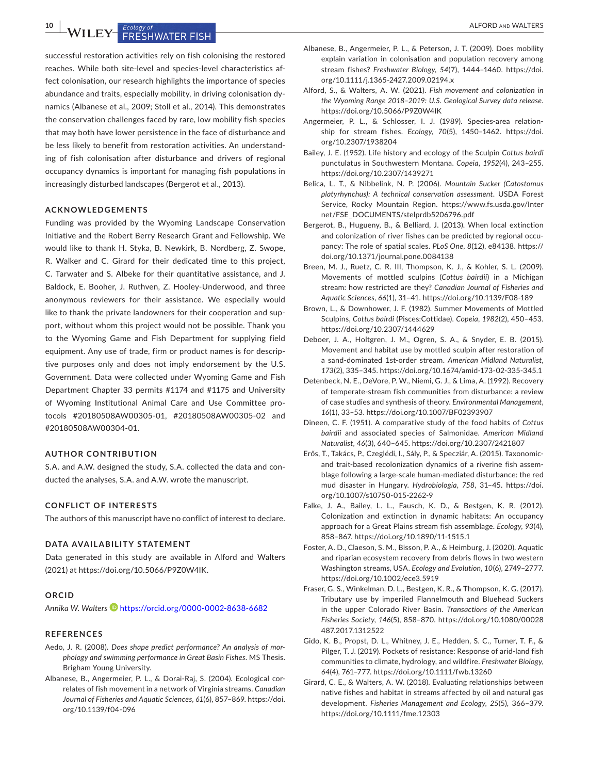**10 <sup>|</sup>**  ALFORD and WALTERS

successful restoration activities rely on fish colonising the restored reaches. While both site-level and species-level characteristics affect colonisation, our research highlights the importance of species abundance and traits, especially mobility, in driving colonisation dynamics (Albanese et al., 2009; Stoll et al., 2014). This demonstrates the conservation challenges faced by rare, low mobility fish species that may both have lower persistence in the face of disturbance and be less likely to benefit from restoration activities. An understanding of fish colonisation after disturbance and drivers of regional occupancy dynamics is important for managing fish populations in increasingly disturbed landscapes (Bergerot et al., 2013).

#### **ACKNOWLEDGEMENTS**

Funding was provided by the Wyoming Landscape Conservation Initiative and the Robert Berry Research Grant and Fellowship. We would like to thank H. Styka, B. Newkirk, B. Nordberg, Z. Swope, R. Walker and C. Girard for their dedicated time to this project, C. Tarwater and S. Albeke for their quantitative assistance, and J. Baldock, E. Booher, J. Ruthven, Z. Hooley-Underwood, and three anonymous reviewers for their assistance. We especially would like to thank the private landowners for their cooperation and support, without whom this project would not be possible. Thank you to the Wyoming Game and Fish Department for supplying field equipment. Any use of trade, firm or product names is for descriptive purposes only and does not imply endorsement by the U.S. Government. Data were collected under Wyoming Game and Fish Department Chapter 33 permits #1174 and #1175 and University of Wyoming Institutional Animal Care and Use Committee protocols #20180508AW00305-01, #20180508AW00305-02 and #20180508AW00304-01.

#### **AUTHOR CONTRIBUTION**

S.A. and A.W. designed the study, S.A. collected the data and conducted the analyses, S.A. and A.W. wrote the manuscript.

## **CONFLICT OF INTERESTS**

The authors of this manuscript have no conflict of interest to declare.

#### **DATA AVAILABILITY STATEMENT**

Data generated in this study are available in Alford and Walters (2021) at <https://doi.org/10.5066/P9Z0W4IK>.

#### **ORCID**

*Annika W. Walters* <https://orcid.org/0000-0002-8638-6682>

#### **REFERENCES**

- Aedo, J. R. (2008). *Does shape predict performance? An analysis of morphology and swimming performance in Great Basin Fishes*. MS Thesis. Brigham Young University.
- Albanese, B., Angermeier, P. L., & Dorai-Raj, S. (2004). Ecological correlates of fish movement in a network of Virginia streams. *Canadian Journal of Fisheries and Aquatic Sciences*, *61*(6), 857–869. [https://doi.](https://doi.org/10.1139/f04-096) [org/10.1139/f04-096](https://doi.org/10.1139/f04-096)
- Albanese, B., Angermeier, P. L., & Peterson, J. T. (2009). Does mobility explain variation in colonisation and population recovery among stream fishes? *Freshwater Biology*, *54*(7), 1444–1460. [https://doi.](https://doi.org/10.1111/j.1365-2427.2009.02194.x) [org/10.1111/j.1365-2427.2009.02194.x](https://doi.org/10.1111/j.1365-2427.2009.02194.x)
- Alford, S., & Walters, A. W. (2021). *Fish movement and colonization in the Wyoming Range 2018–2019: U.S. Geological Survey data release*. <https://doi.org/10.5066/P9Z0W4IK>
- Angermeier, P. L., & Schlosser, I. J. (1989). Species-area relationship for stream fishes. *Ecology*, *70*(5), 1450–1462. [https://doi.](https://doi.org/10.2307/1938204) [org/10.2307/1938204](https://doi.org/10.2307/1938204)
- Bailey, J. E. (1952). Life history and ecology of the Sculpin *Cottus bairdi* punctulatus in Southwestern Montana. *Copeia*, *1952*(4), 243–255. <https://doi.org/10.2307/1439271>
- Belica, L. T., & Nibbelink, N. P. (2006). *Mountain Sucker (Catostomus platyrhynchus): A technical conservation assessment*. USDA Forest Service, Rocky Mountain Region. [https://www.fs.usda.gov/Inter](https://www.fs.usda.gov/Internet/FSE_DOCUMENTS/stelprdb5206796.pdf) [net/FSE\\_DOCUMENTS/stelprdb5206796.pdf](https://www.fs.usda.gov/Internet/FSE_DOCUMENTS/stelprdb5206796.pdf)
- Bergerot, B., Hugueny, B., & Belliard, J. (2013). When local extinction and colonization of river fishes can be predicted by regional occupancy: The role of spatial scales. *PLoS One*, *8*(12), e84138. [https://](https://doi.org/10.1371/journal.pone.0084138) [doi.org/10.1371/journal.pone.0084138](https://doi.org/10.1371/journal.pone.0084138)
- Breen, M. J., Ruetz, C. R. III, Thompson, K. J., & Kohler, S. L. (2009). Movements of mottled sculpins (*Cottus bairdii*) in a Michigan stream: how restricted are they? *Canadian Journal of Fisheries and Aquatic Sciences*, *66*(1), 31–41. <https://doi.org/10.1139/F08-189>
- Brown, L., & Downhower, J. F. (1982). Summer Movements of Mottled Sculpins, *Cottus bairdi* (Pisces:Cottidae). *Copeia*, *1982*(2), 450–453. <https://doi.org/10.2307/1444629>
- Deboer, J. A., Holtgren, J. M., Ogren, S. A., & Snyder, E. B. (2015). Movement and habitat use by mottled sculpin after restoration of a sand-dominated 1st-order stream. *American Midland Naturalist*, *173*(2), 335–345.<https://doi.org/10.1674/amid-173-02-335-345.1>
- Detenbeck, N. E., DeVore, P. W., Niemi, G. J., & Lima, A. (1992). Recovery of temperate-stream fish communities from disturbance: a review of case studies and synthesis of theory. *Environmental Management*, *16*(1), 33–53. <https://doi.org/10.1007/BF02393907>
- Dineen, C. F. (1951). A comparative study of the food habits of *Cottus bairdii* and associated species of Salmonidae. *American Midland Naturalist*, *46*(3), 640–645. <https://doi.org/10.2307/2421807>
- Erős, T., Takács, P., Czeglédi, I., Sály, P., & Specziár, A. (2015). Taxonomicand trait-based recolonization dynamics of a riverine fish assemblage following a large-scale human-mediated disturbance: the red mud disaster in Hungary. *Hydrobiologia*, *758*, 31–45. [https://doi.](https://doi.org/10.1007/s10750-015-2262-9) [org/10.1007/s10750-015-2262-9](https://doi.org/10.1007/s10750-015-2262-9)
- Falke, J. A., Bailey, L. L., Fausch, K. D., & Bestgen, K. R. (2012). Colonization and extinction in dynamic habitats: An occupancy approach for a Great Plains stream fish assemblage. *Ecology*, *93*(4), 858–867.<https://doi.org/10.1890/11-1515.1>
- Foster, A. D., Claeson, S. M., Bisson, P. A., & Heimburg, J. (2020). Aquatic and riparian ecosystem recovery from debris flows in two western Washington streams, USA. *Ecology and Evolution*, *10*(6), 2749–2777. <https://doi.org/10.1002/ece3.5919>
- Fraser, G. S., Winkelman, D. L., Bestgen, K. R., & Thompson, K. G. (2017). Tributary use by imperiled Flannelmouth and Bluehead Suckers in the upper Colorado River Basin. *Transactions of the American Fisheries Society*, *146*(5), 858–870. [https://doi.org/10.1080/00028](https://doi.org/10.1080/00028487.2017.1312522) [487.2017.1312522](https://doi.org/10.1080/00028487.2017.1312522)
- Gido, K. B., Propst, D. L., Whitney, J. E., Hedden, S. C., Turner, T. F., & Pilger, T. J. (2019). Pockets of resistance: Response of arid-land fish communities to climate, hydrology, and wildfire. *Freshwater Biology*, *64*(4), 761–777. <https://doi.org/10.1111/fwb.13260>
- Girard, C. E., & Walters, A. W. (2018). Evaluating relationships between native fishes and habitat in streams affected by oil and natural gas development. *Fisheries Management and Ecology*, *25*(5), 366–379. <https://doi.org/10.1111/fme.12303>